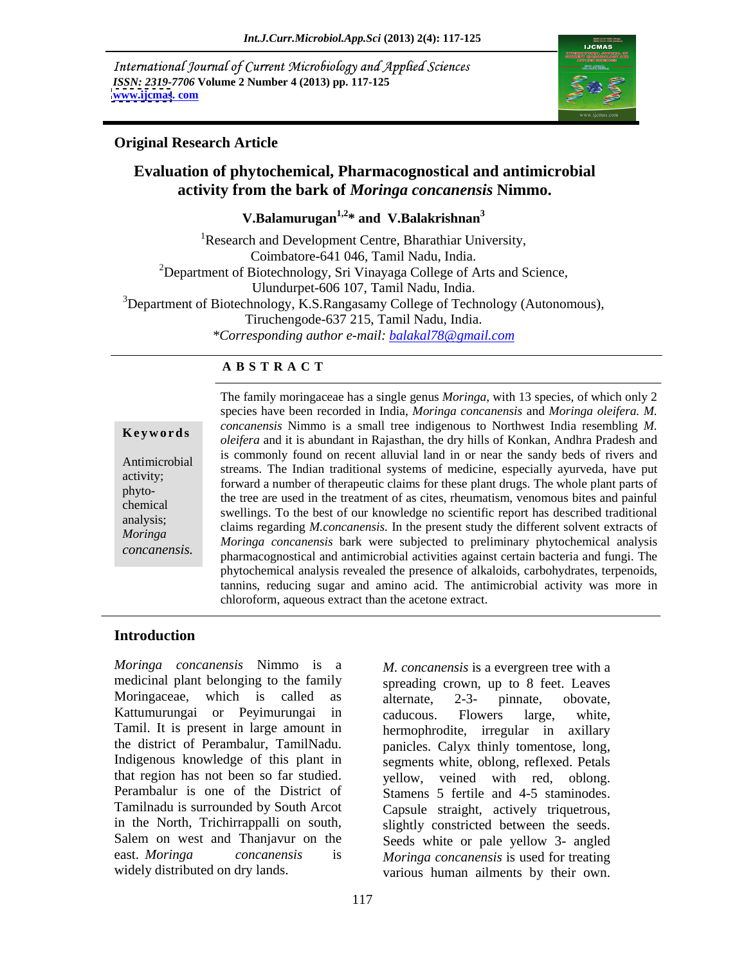International Journal of Current Microbiology and Applied Sciences *ISSN: 2319-7706* **Volume 2 Number 4 (2013) pp. 117-125 [www.ijcmas](http://www.ijcmas).com** 



### **Original Research Article**

### **Evaluation of phytochemical, Pharmacognostical and antimicrobial activity from the bark of** *Moringa concanensis* **Nimmo.**

**V.Balamurugan1,2\* and V.Balakrishnan3**

<sup>1</sup>Research and Development Centre, Bharathiar University, Coimbatore-641 046, Tamil Nadu, India.  $2$ Department of Biotechnology, Sri Vinayaga College of Arts and Science, Ulundurpet-606 107, Tamil Nadu, India.<br>
<sup>3</sup>Department of Biotechnology, K.S.Rangasamy College of Technology (Autonomous), Tiruchengode-637 215, Tamil Nadu, India. *\*Corresponding author e-mail: balakal78@gmail.com*

### **A B S T R A C T**

**Keywords** *oleifera* and it is abundant in Rajasthan, the dry hills of Konkan, Andhra Pradesh and *oleifera* and it is abundant in Rajasthan, the dry hills of Konkan, Andhra Pradesh and Antimicrobial is commonly found on recent and via failure in or hear the sandy beds of fivers and streams. The Indian traditional systems of medicine, especially ayurveda, have put activity;<br>
forward a number of therapeutic claims for these plant drugs. The whole plant parts of phyto-<br>the tree are used in the treatment of as cites, rheumatism, venomous bites and painful chemical swellings. To the best of our knowledgeno scientific report has described traditional analysis;<br>
claims regarding *M.concanensis*. In the present study the different solvent extracts of *Moringa Moringa concanensis* bark were subjected to preliminary phytochemical analysis **Example 12** The family moringaceae has a single genus *Moringa*, with 13 species, of which only 2<br>
species have been recorded in India, *Moringa concanensis* and *Moringa oleifera*. *M.*<br> *concanensis* Nimmo is a small tr species have been recorded in India, *Moringa concanensis* and *Moringa oleifera. M. concanensis* Nimmo is a small tree indigenous to Northwest India resembling *M.*  is commonly found on recent alluvial land in or near the sandy beds of rivers and pharmacognostical and antimicrobial activities against certain bacteria and fungi. The phytochemical analysis revealed the presence of alkaloids, carbohydrates, terpenoids, tannins, reducing sugar and amino acid. The antimicrobial activity was more in chloroform, aqueous extract than the acetone extract.

### **Introduction**

*Moringa concanensis* Nimmo is a medicinal plant belonging to the family spreading crown, up to 8 feet. Leaves Moringaceae, which is called as alternate, 2-3- pinnate, obovate, Kattumurungai or Peyimurungai in caducous. Flowers large, white, Tamil. It is present in large amount in the district of Perambalur, TamilNadu. panicles. Calyx thinly tomentose, long, Indigenous knowledge of this plant in segments white, oblong, reflexed. Petals that region has not been so far studied. yellow, veined with red, oblong. Perambalur is one of the District of Tamilnadu is surrounded by South Arcot Capsule straight, actively triquetrous, in the North, Trichirrappalli on south, slightly constricted between the seeds. Salem on west and Thanjavur on the Seeds white or pale yellow 3- angled **Moringa concanensis** Nimmo is a *M. concanensis* is a evergreen tree with a medicinal plant belonging to the family spreading crown, up to 8 feet. Leaves alternate,  $\frac{2-3}{2}$  pinnate, obvote, Kattumurungai or Peyimurung

alternate, 2-3- pinnate, obovate, caducous. Flowers large, white, hermophrodite, irregular in axillary Stamens 5 fertile and 4-5 staminodes. *Moringa concanensis* is used for treating various human ailments by their own.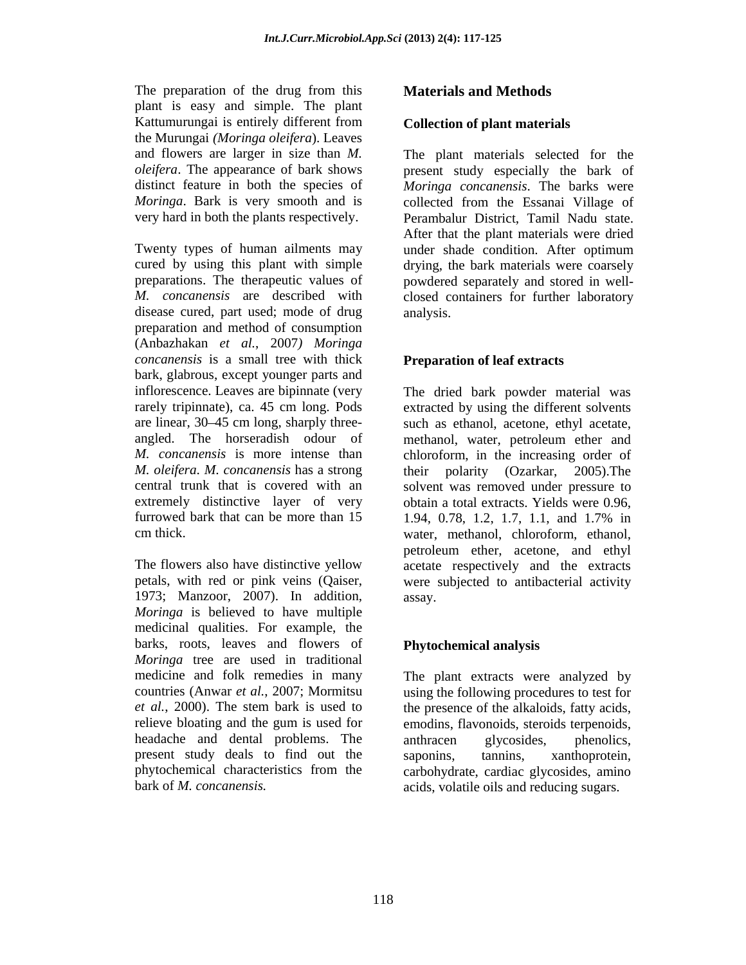The preparation of the drug from this **Materials and Methods** plant is easy and simple. The plant Kattumurungai is entirely different from **Collection of plant materials** the Murungai *(Moringa oleifera*). Leaves *Moringa*. Bark is very smooth and is collected from the Essanai Village of

Twenty types of human ailments may under shade condition. After optimum disease cured, part used; mode of drug analysis. preparation and method of consumption (Anbazhakan *et al.*, 2007*) Moringa concanensis* is a small tree with thick bark, glabrous, except younger parts and inflorescence. Leaves are bipinnate (very The dried bark powder material was rarely tripinnate), ca. 45 cm long. Pods extracted by using the different solvents are linear, 30 45 cm long, sharply three- such as ethanol, acetone, ethyl acetate, angled. The horseradish odour of methanol, water, petroleum ether and *M. concanensis* is more intense than chloroform, in the increasing order of *M. oleifera. M. concanensis* has a strong central trunk that is covered with an solvent was removed under pressure to extremely distinctive layer of very obtain a total extracts. Yields were 0.96, furrowed bark that can be more than 15 1.94, 0.78, 1.2, 1.7, 1.1, and 1.7% in The preparation and the drug from this concernent in the driven of the distantaneous and the methods Kantumerupa is entirely different from **Collection of** *Phart materials* the method is entirely different from **Collectio** 

The flowers also have distinctive yellow acetate respectively and the extracts petals, with red or pink veins (Qaiser, were subjected to antibacterial activity 1973; Manzoor, 2007). In addition, *Moringa* is believed to have multiple medicinal qualities. For example, the barks, roots, leaves and flowers of *Moringa* tree are used in traditional medicine and folk remedies in many The plant extracts were analyzed by countries (Anwar *et al.*, 2007; Mormitsu using the following procedures to test for *et al.*, 2000). The stem bark is used to the presence of the alkaloids, fatty acids, relieve bloating and the gum is used for emodins, flavonoids, steroids terpenoids, headache and dental problems. The anthracen glycosides, phenolics, present study deals to find out the saponins, tannins, xanthoprotein, phytochemical characteristics from the carbohydrate, cardiac glycosides, amino

### **Collection of plant materials**

and flowers are larger in size than *M.*  The plant materials selected for the *oleifera*. The appearance of bark shows present study especially the bark of distinct feature in both the species of *Moringa concanensis*. The barks were very hard in both the plants respectively. Perambalur District, Tamil Nadu state. cured by using this plant with simple drying, the bark materials were coarsely preparations. The therapeutic values of powdered separately and stored in well- *M. concanensis* are described with closed containers for further laboratory collected from the Essanai Village of After that the plant materials were dried under shade condition. After optimum analysis.

### **Preparation of leaf extracts**

cm thick. water, methanol, chloroform, ethanol, methanol, water, petroleum ether and their polarity (Ozarkar, 2005).The 1.94, 0.78, 1.2, 1.7, 1.1, and 1.7% in petroleum ether, acetone, and ethyl assay.

### **Phytochemical analysis**

anthracen glycosides, phenolics, saponins, tannins, xanthoprotein, acids, volatile oils and reducing sugars.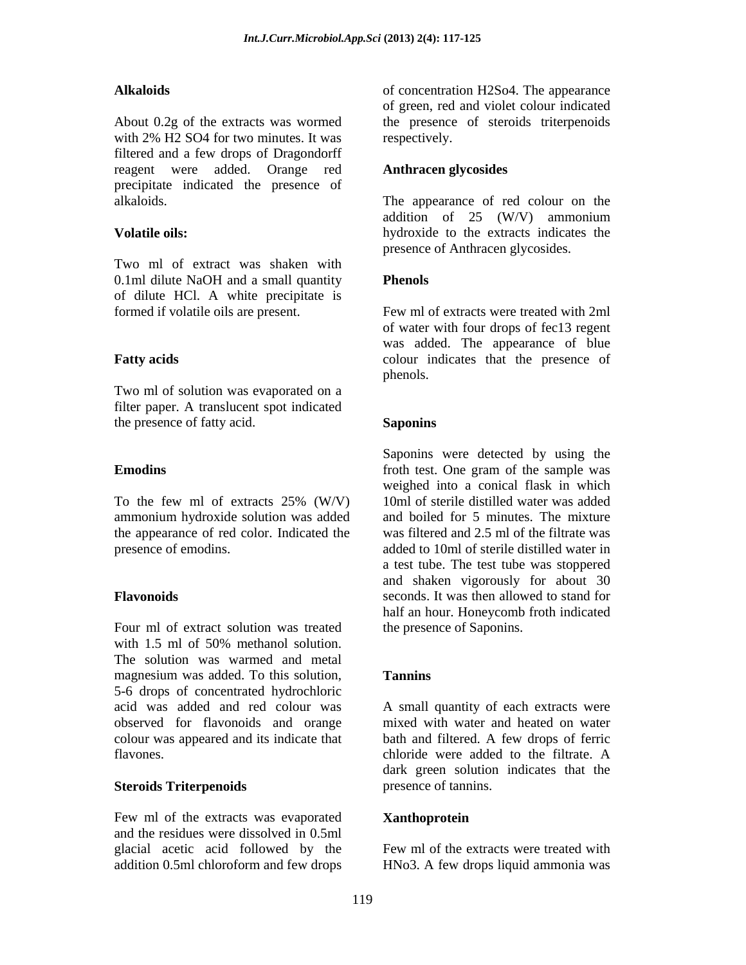About 0.2g of the extracts was wormed the presence of steroids triterpenoids with 2% H2 SO4 for two minutes. It was respectively. filtered and a few drops of Dragondorff reagent were added. Orange red **Anthracen glycosides** precipitate indicated the presence of

Two ml of extract was shaken with 0.1ml dilute NaOH and a small quantity **Phenols** of dilute HCl. A white precipitate is formed if volatile oils are present.

Two ml of solution was evaporated on a filter paper. A translucent spot indicated the presence of fatty acid. Saponins Saponins

To the few ml of extracts 25% (W/V) 10ml of sterile distilled water was added ammonium hydroxide solution was added the appearance of red color. Indicated the presence of emodins. added to 10ml of sterile distilled water in

Four ml of extract solution was treated with 1.5 ml of 50% methanol solution. The solution was warmed and metal magnesium was added. To this solution, Tannins 5-6 drops of concentrated hydrochloric acid was added and red colour was A small quantity of each extracts were observed for flavonoids and orange mixed with water and heated on water colour was appeared and its indicate that bath and filtered. A few drops of ferric colour was appeared and its indicate that flavones. A chloride were added to the filtrate. A

### **Steroids Triterpenoids**

Few ml of the extracts was evaporated and the residues were dissolved in 0.5ml glacial acetic acid followed by the Few ml of the extracts were treated with addition 0.5ml chloroform and few drops HNo3. A few drops liquid ammonia was

Alkaloids of concentration H2So4. The appearance of green, red and violet colour indicated respectively.

## **Anthracen glycosides**

alkaloids. The appearance of red colour on the **Volatile oils:**  hydroxide to the extracts indicates the addition of 25 (W/V) ammonium presence of Anthracen glycosides.

### **Phenols**

**Fatty acids Fatty acids Example 2018 Colour indicates** that the presence of Few ml of extracts were treated with 2ml of water with four drops of fec13 regent was added. The appearance of blue phenols. The contract of the contract of the contract of the contract of the contract of the contract of the contract of the contract of the contract of the contract of the contract of the contract of the contract of the c

### **Saponins**

**Emoding** from the sample was from the sample was from the sample was from the sample was from the sample was from the sample was from the sample was from the sample was from the sample was from the sample was from the sam **Flavonoids** seconds. It was then allowed to stand for Saponins were detected by using the froth test. One gram of the sample was weighed into a conical flask in which 10ml of sterile distilled water was added and boiled for 5 minutes. The mixture was filtered and 2.5 ml of the filtrate was a test tube. The test tube was stoppered and shaken vigorously for about 30 half an hour. Honeycomb froth indicated the presence of Saponins.

### **Tannins Tanning**

mixed with water and heated on water bath and filtered. A few drops of ferric chloride were added to the filtrate. A dark green solution indicates that the presence of tannins.

### **Xanthoprotein**

Few ml of the extracts were treated with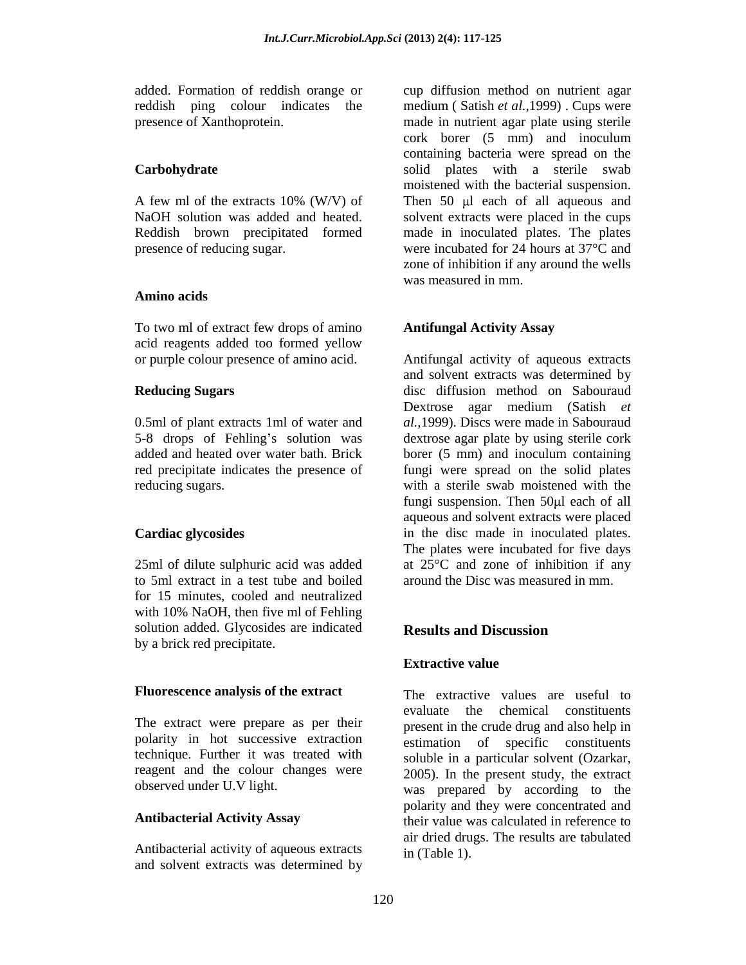presence of reducing sugar. were incubated for 24 hours at 37<sup>o</sup>C and

### **Amino acids**

To two ml of extract few drops of amino acid reagents added too formed yellow

0.5ml of plant extracts 1ml of water and 5-8 drops of Fehling's solution was added and heated over water bath. Brick borer (5 mm) and inoculum containing<br>red precipitate indicates the presence of fungi were spread on the solid plates

25ml of dilute sulphuric acid was added to 5ml extract in a test tube and boiled for 15 minutes, cooled and neutralized with 10% NaOH, then five ml of Fehling solution added. Glycosides are indicated<br>Results and Discussion by a brick red precipitate.

The extract were prepare as per their polarity in hot successive extraction technique. Further it was treated with soluble in a particular solvent (Ozarkar, reagent and the colour changes were 2005). In the present study, the extract

Antibacterial activity of aqueous extracts and solvent extracts was determined by

added. Formation of reddish orange or cup diffusion method on nutrient agar reddish ping colour indicates the medium ( Satish *et al.*,1999) . Cups were presence of Xanthoprotein. made in nutrient agar plate using sterile **Carbohydrate**  solid plates with a sterile swab A few ml of the extracts 10% (W/V) of Then 50 µl each of all aqueous and NaOH solution was added and heated. Solvent extracts were placed in the cups Reddish brown precipitated formed made in inoculated plates. The plates cork borer (5 mm) and inoculum containing bacteria were spread on the moistened with the bacterial suspension. Then  $50$   $\mu$ l each of all aqueous and were incubated for 24 hours at 37°C and zone of inhibition if any around the wells was measured in mm.

### **Antifungal Activity Assay**

or purple colour presence of amino acid. Antifungal activity of aqueous extracts **Reducing Sugars** disc diffusion method on Sabouraud 5-8 drops of Fehling's solution was dextrose agar plate by using sterile cork red precipitate indicates the presence of fungi were spread on the solid plates reducing sugars. with a sterile swab moistened with the **Cardiac glycosides** in the disc made in inoculated plates. and solvent extracts was determined by Dextrose agar medium (Satish *et al.*,1999). Discs were made in Sabouraud borer (5 mm) and inoculum containing fungi suspension. Then  $50\mu l$  each of all aqueous and solvent extracts were placed The plates were incubated for five days at 25°C and zone of inhibition if any around the Disc was measured in mm.

### **Results and Discussion**

### **Extractive value**

**Fluorescence analysis of the extract** The extractive values are useful to observed under U.V light. was prepared by according to the Antibacterial Activity Assay **their** value was calculated in reference to evaluate the chemical constituents present in the crude drug and also help in estimation of specific constituents soluble in <sup>a</sup> particular solvent (Ozarkar, 2005). In the present study, the extract polarity and they were concentrated and air dried drugs. The results are tabulated in (Table 1).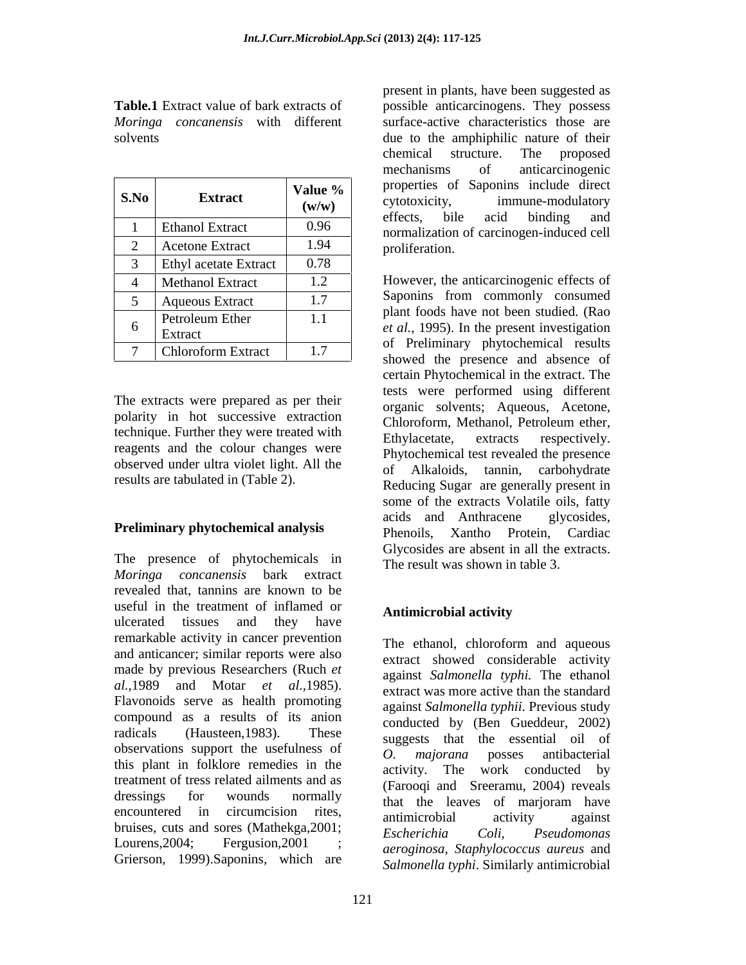| S.No | <b>Extract</b>               | Value %<br>(w/w) | properties of Saponins include direct<br>immune-modulatory<br>cytotoxicity,<br>binding and<br>acid<br>bile |  |
|------|------------------------------|------------------|------------------------------------------------------------------------------------------------------------|--|
|      | <b>Ethanol Extract</b>       | 0.96             | effects,<br>normalization of carcinogen-induced cell                                                       |  |
|      | <b>Acetone Extract</b>       | 1.94             | proliferation.                                                                                             |  |
|      | <b>Ethyl</b> acetate Extract | 0.78             |                                                                                                            |  |
|      | Methanol Extract             | 1.2              | However, the anticarcinogenic effects of                                                                   |  |
|      | Aqueous Extract              |                  | Saponins from commonly consumed                                                                            |  |
| h.   | Petroleum Ether              | 1.1              | plant foods have not been studied. (Rao<br><i>et al.</i> , 1995). In the present investigation             |  |
|      | Extract                      |                  | of Preliminary phytochemical results                                                                       |  |
|      | <b>Chloroform Extract</b>    | 1.7              | showed the presence and absence of                                                                         |  |

The extracts were prepared as per their polarity in hot successive extraction Chloroform, Methanol, Petroleum ether, technique. Further they were treated with<br>Ethylacetate, extracts respectively. reagents and the colour changes were observed under ultra violet light. All the of Alkaloids, tannin, carbohydrate results are tabulated in (Table 2).

The presence of phytochemicals in *Moringa concanensis* bark extract revealed that, tannins are known to be useful in the treatment of inflamed or ulcerated tissues and they have remarkable activity in cancer prevention<br>The ethanol, chloroform and aqueous and anticancer; similar reports were also made by previous Researchers (Ruch *et al.*,1989 and Motar *et al.*,1985). extract was more active than the standard extraction is extractly extractly against Salmonella public Previous study compound as a results of its anion radicals (Hausteen,1983). These suggests that the essential oil of observations support the usefulness of  $\overline{O}$ , majorana posses antibacterial this plant in folklore remedies in the treatment of tress related ailments and as dressings for wounds normally that the leaves of marioram have encountered in circumcision rites, antimicrobial activity against encountered in circumcision rites,<br>bruises, cuts and sores (Mathekga, 2001;<br>Escherichia Coli, Pseudomonas Lourens, 2004; Fergusion, 2001; *aeroginosa Stanhylococcus aureus* and Grierson, 1999).Saponins, which are

**Table.1** Extract value of bark extracts of possible anticarcinogens. They possess *Moringa concanensis* with different surface-active characteristics those are solvents due to the amphiphilic nature of their **S.No Extract Value % Properties of Saponins include direct Extract Value We COND Extract V COND Extract Extract Extract EXECOND EXECOND EXECOND EXECOND EXECOND EXECOND EXECOND EXEC**  $(w/w)$  Cytotoxicity, immune-modulatory 1 | Ethanol Extract  $\begin{vmatrix} 0.96 \\ 0.96 \end{vmatrix}$  recently normalization of carcinogen-induced cell 2 Acetone Extract  $\begin{vmatrix} 1.94 & \cdot \\ \cdot & \cdot \end{vmatrix}$  proliferation. present in plants, have been suggested as chemical structure. The proposed mechanisms of anticarcinogenic properties of Saponins include direct cytotoxicity, immune-modulatory effects, bile acid binding and normalization of carcinogen-induced cell proliferation.

4 | Methanol Extract | 1.2 | However, the anticarcinogenic effects of 5 Aqueous Extract 1.7 Saponins from commonly consumed  $\begin{array}{c|c|c|c|c|c|c} \hline \text{fctr} & \text{fctr} & \text{fctr} & \text{fctr} & \text{fctr} & \text{fctr} & \text{fctr} & \text{fctr} & \text{fctr} & \text{fctr} & \text{fctr} & \text{fctr} & \text{fctr} & \text{fctr} & \text{fctr} & \text{fctr} & \text{fctr} & \text{fctr} & \text{fctr} & \text{fctr} & \text{fctr} & \text{fctr} & \text{fctr} & \text{fctr} & \text{fctr$ Extract et  $u_i$ , 1995). In the present investigation<br>Chloroform Extract  $\frac{17}{2}$  of Preliminary phytochemical results  $1.1$   $1005$  Tave not been studied. (Kao  $7 \mid$  Chloroform Extract  $\mid 1.7 \mid$  of Technical phytochemical results **Preliminary phytochemical analysis** acids and Anthracene glycosides,<br>Phenoils. Xantho Protein. Cardiac Saponins from commonly consumed plant foods have not been studied. (Rao showed the presence and absence of certain Phytochemical in the extract. The tests were performed using different organic solvents; Aqueous, Acetone, Chloroform, Methanol, Petroleum ether, Ethylacetate, extracts respectively. Phytochemical test revealed the presence of Alkaloids, tannin, carbohydrate Reducing Sugar are generally present in some of the extracts Volatile oils, fatty acids and Anthracene glycosides, Phenoils, Xantho Protein, Cardiac Glycosides are absent in all the extracts. The result was shown in table 3.

### **Antimicrobial activity**

The ethanol, chloroform and aqueous extract showed considerable activity against *Salmonella typhi.* The ethanol extract was more active than the standard against *Salmonella typhii*. Previous study conducted by (Ben Gueddeur, 2002) *O. majorana* posses antibacterial activity. The work conducted by (Farooqi and Sreeramu, 2004) reveals that the leaves of marjoram have antimicrobial activity against *Escherichia Coli, Pseudomonas aeroginosa, Staphylococcus aureus* and *Salmonella typhi*. Similarly antimicrobial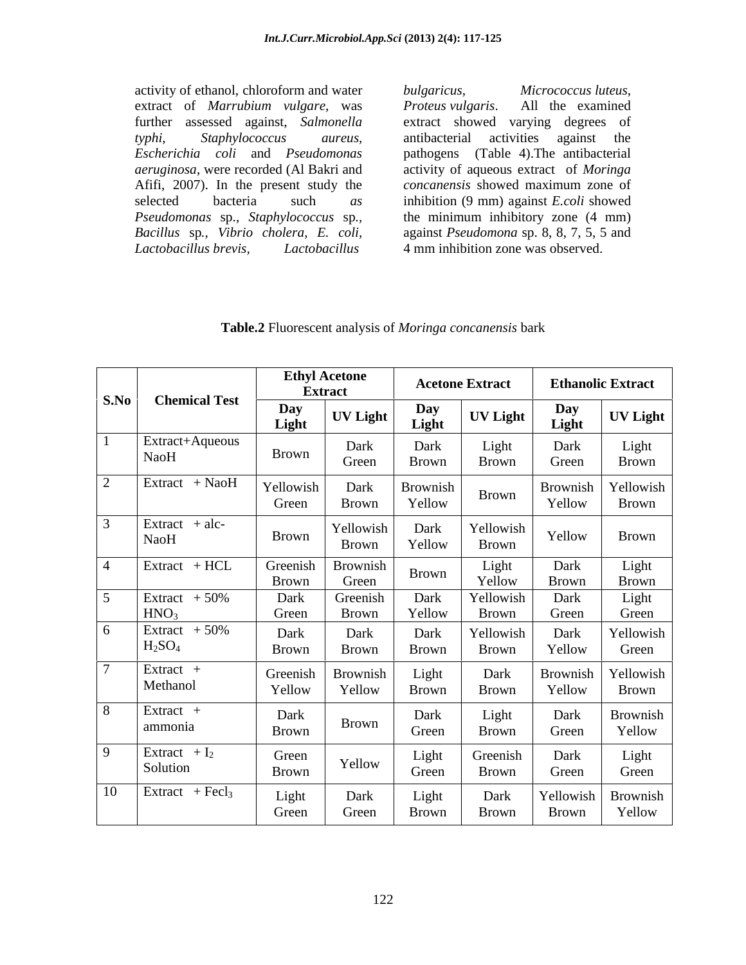activity of ethanol, chloroform and water *bulgaricus*, *Micrococcus luteus*, extract of *Marrubium vulgare*, was *Proteus vulgaris*. All the examined further assessed against, *Salmonella* extract showed varying degrees of further assessed against, *Salmonella*  extract showed varying degrees of *typhi, Staphylococcus aureus, Escherichia coli* and *Pseudomonas*  pathogens (Table 4).The antibacterial *aeruginosa*, were recorded (Al Bakri and activity of aqueous extract of *Moringa*  Afifi, 2007). In the present study the concanensis showed maximum zone of selected bacteria such *as* inhibition (9 mm) against *E.coli* showed<br>*Pseudomonas* sp., *Staphylococcus* sp., the minimum inhibitory zone (4 mm)<br>*Bacillus* sp., *Vibrio cholera, E. coli,* against *Pseudomona* sp. 8, 8, 7, activity of ethanol, chloroform and water<br>
extract of *Marrubium vulgare*, was<br> *Proteus vulgaris*. All the examined<br>
further assessed against, *Salmonella*<br>
extract showed varying degrees of<br> *typhi*, *Staphylococcus au* 

*Proteus vulgaris*. All the examined antibacterial activities against the *concanensis* showed maximum zone of inhibition (9 mm) against *E.coli* showed the minimum inhibitory zone (4 mm) against *Pseudomona* sp. 8, 8, 7, 5, 5 and 4 mm inhibition zone was observed.

| Table.2 Fluoresce<br>escent analysis of <i>Moringa concanensis</i> bark |  |
|-------------------------------------------------------------------------|--|
|                                                                         |  |

|                      |                                     |                       | <b>Ethyl Acetone</b>      |                    | <b>Acetone Extract</b> |                    | <b>Ethanolic Extract</b>  |
|----------------------|-------------------------------------|-----------------------|---------------------------|--------------------|------------------------|--------------------|---------------------------|
| $\vert$ S.No $\vert$ | <b>Chemical Test</b>                |                       | <b>Extract</b>            |                    |                        |                    |                           |
|                      |                                     | Day<br>Light          | <b>UV Light</b>           | Day<br>Light       | <b>UV Light</b>        | Day<br>Light       | <b>UV Light</b>           |
|                      | Extract+Aqueous<br>NaoH             | Brown                 | Dark<br>Green             | Dark<br>Brown      | Light<br>Brown         | Dark<br>Green      | Light<br>Brown            |
|                      | $Extract + NaoH$                    | Yellowish<br>Green    | Dark<br>Brown             | Brownish<br>Yellow | Brown                  | Brownish<br>Yellow | Yellowish<br>Brown        |
|                      | $Extract + alc-$<br>NaoH            | Brown                 | Yellowish<br><b>Brown</b> | Dark<br>Yellow     | Yellowish<br>Brown     | Yellow             | Brown                     |
|                      | $Extract + HCL$                     | Greenish<br>Brown     | Brownish<br>Green         | Brown              | Light<br>Yellow        | Dark<br>Brown      | Light<br>Brown            |
|                      | Extract $+50\%$<br>HNO <sub>3</sub> | Dark                  | Greenish                  | Dark<br>Yellow     | Yellowish              | Dark               | Light                     |
|                      | Extract $+50\%$                     | Green                 | Brown                     |                    | Brown                  | Green              | Green                     |
|                      | H <sub>2</sub> SO <sub>4</sub>      | Dark<br>Brown         | Dark<br><b>Brown</b>      | Dark<br>Brown      | Yellowish<br>Brown     | Dark<br>Yellow     | Yellowish<br>Green        |
|                      | $Extract +$<br>Methanol             | Greenish<br>Yellow    | <b>Brownish</b><br>Yellow | Light<br>Brown     | Dark<br>Brown          | Brownish<br>Yellow | Yellowish<br>Brown        |
|                      | $Extract +$<br>ammonia              | Dark<br>Brown         | <b>Brown</b>              | Dark<br>Green      | Light<br>Brown         | Dark<br>Green      | Brownish<br>Yellow        |
|                      | Extract $+I_2$<br>Solution          | Green<br><b>Brown</b> | Yellow                    | Light<br>Green     | Greenish<br>Brown      | Dark<br>Green      | Light<br>Green            |
| 10                   | $\vert$ Extract + Fecl <sub>3</sub> | Light<br>Green        | Dark<br>Green             | Light<br>Brown     | Dark<br>Brown          | Yellowish<br>Brown | <b>Brownish</b><br>Yellow |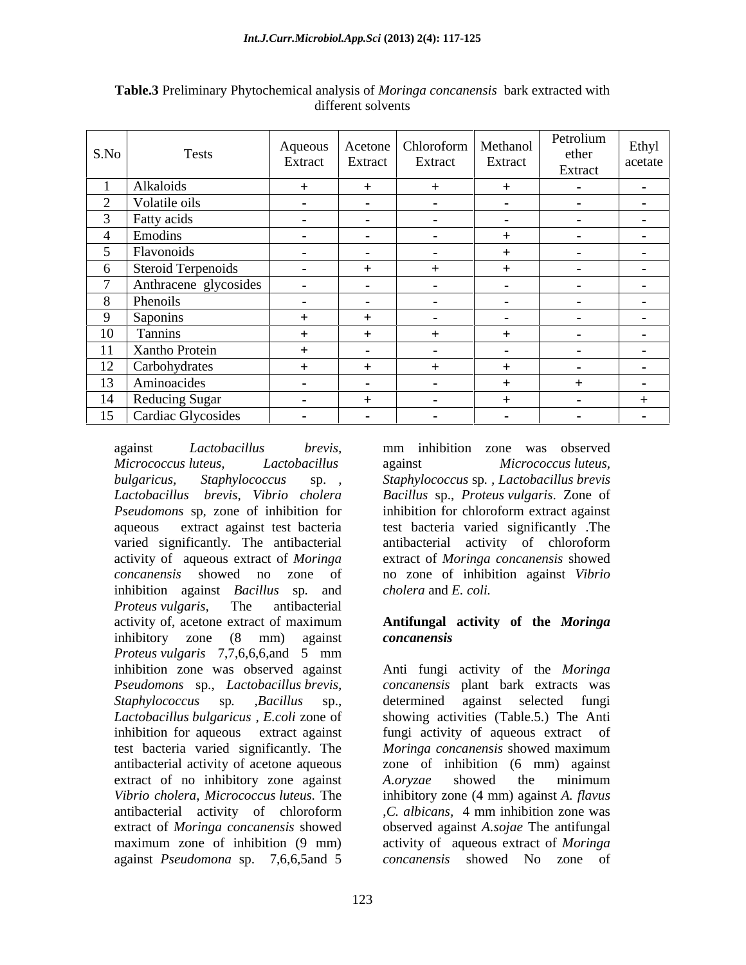| $\vert$ S.No $\vert$          | Tests                 | Aqueous<br>Extract          | Extract          | Acetone   Chloroform   Methanol  <br>Extract | Extract                   | Petrolium<br>ether<br>Extract | Ethyl<br>acetate |
|-------------------------------|-----------------------|-----------------------------|------------------|----------------------------------------------|---------------------------|-------------------------------|------------------|
|                               | Alkaloids             |                             |                  |                                              | - +                       |                               |                  |
| the control of the control of | Volatile oils         |                             |                  |                                              |                           |                               |                  |
|                               | Fatty acids           |                             |                  | <b><i><u>ALCO</u></i></b>                    | <b><i><u>ALCO</u></i></b> |                               |                  |
|                               | Emodins               |                             |                  |                                              |                           |                               |                  |
|                               | Flavonoids            | <b><i><u>Part 1</u></i></b> | - -              | <b><i><u>ALCO</u></i></b>                    |                           |                               |                  |
|                               | Steroid Terpenoids    | <b>Contract Contract</b>    | $+$              |                                              |                           |                               |                  |
|                               | Anthracene glycosides |                             | <b>Contract</b>  | <b>CONTRACTOR</b>                            |                           |                               |                  |
|                               | Phenoils              | <b>Contract Contract</b>    | $\sim$ 100 $\pm$ | $\sim$ 100 $\pm$                             | $\sim$ 100 $\sim$         |                               |                  |
|                               | Saponins              |                             |                  | <b><i><u>Participate</u></i></b>             | <b><i><u>ALCO</u></i></b> |                               |                  |
| ______<br>$\frac{10}{10}$     | <b>Tanning</b>        |                             | <u>+</u>         |                                              |                           |                               |                  |
| 11                            | Xantho Protein        |                             |                  | <b><i><u>ALCO</u></i></b>                    | - -                       |                               |                  |
|                               | 12 Carbohydrates      |                             |                  |                                              |                           |                               |                  |
| 13                            | Aminoacides           |                             |                  |                                              |                           |                               |                  |
| _____                         | 14 Reducing Sugar     | <b>Contract Contract</b>    |                  |                                              |                           |                               |                  |
| 15                            | Cardiac Glycosides    |                             |                  |                                              |                           |                               |                  |

**Table.3** Preliminary Phytochemical analysis of *Moringa concanensis* bark extracted with different solvents

*Micrococcus luteus, Lactobacillus bulgaricus, Staphylococcus* sp. *, Staphylococcus* sp*. , Lactobacillus brevis Lactobacillus brevis*, *Vibrio cholera Bacillus* sp., *Proteus vulgaris*. Zone of *Pseudomons* sp*,* zone of inhibition for aqueous extract against test bacteria test bacteria varied significantly .The varied significantly. The antibacterial antibacterial activity of chloroform activity of aqueous extract of *Moringa*  extract of *Moringa concanensis* showed *concanensis* showed no zone of no zone of inhibition against *Vibrio*  inhibition against *Bacillus* sp*.* and *Proteus vulgaris,* The antibacterial activity of, acetone extract of maximum **Antifungal activity of the** *Moringa* inhibitory zone (8 mm) against concanensis *Proteus vulgaris* 7,7,6,6,6,and 5 mm inhibition zone was observed against Anti fungi activity of the *Moringa Pseudomons* sp., *Lactobacillus brevis, Staphylococcus* sp*. ,Bacillus* sp., *Lactobacillus bulgaricus , E.coli* zone of showing activities (Table.5.) The Anti inhibition for aqueous extract against fungi activity of aqueous extract of test bacteria varied significantly. The *Moringa concanensis* showed maximum antibacterial activity of acetone aqueous extract of no inhibitory zone against A.oryzae showed the minimum *Vibrio cholera*, *Micrococcus luteus.* The inhibitory zone (4 mm) against *A. flavus* antibacterial activity of chloroform . C. albicans, 4 mm inhibition zone was extract of *Moringa concanensis* showed observed against *A.sojae* The antifungal maximum zone of inhibition (9 mm) activity of aqueous extract of *Moringa*  against *Pseudomona* sp. 7,6,6,5and 5

against *Lactobacillus brevis,* mm inhibition zone was observed against *Micrococcus luteus,* inhibition for chloroform extract against antibacterial activity of chloroform *cholera* and *E. coli.*

# *concanensis*

*concanensis* plant bark extracts was determined against selected fungi *Moringa concanensis* showed maximum zone of inhibition (6 mm) against *A.oryzae* showed the minimum ,*C. albicans,* 4 mm inhibition zone was *concanensis* showed No zone of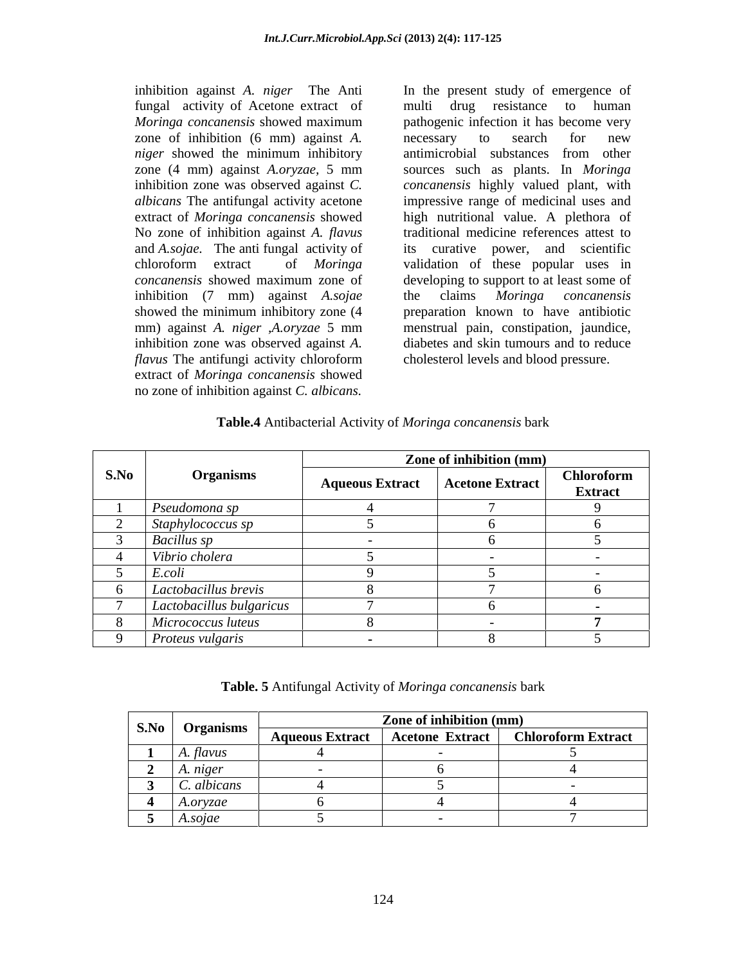inhibition against *A. niger* The Anti fungal activity of Acetone extract of zone of inhibition (6 mm) against *A*. **Increase 1** against *A*. **Increase 1** against *A*. extract of *Moringa concanensis* showed No zone of inhibition against *A. flavus* inhibition (7 mm) against *A.sojae* showed the minimum inhibitory zone (4 *flavus* The antifungi activity chloroform cholesterol levels and blood pressure. extract of *Moringa concanensis* showed inhibition against *A. niger* The Anti In the present study of emergence of hundit drag resistance to hunnar many parameterization in the translation of order and *Moringa concanensis* showed maximum inhibition is eccessar

*Moringa concanensis* showed maximum *niger* showed the minimum inhibitory antimicrobial substances from other zone (4 mm) against *A.oryzae,* 5 mm inhibition zone was observed against *C. concanensis* highly valued plant, with *albicans* The antifungal activity acetone impressive range of medicinal uses and and *A.sojae.* The anti fungal activity of its curative power, and scientific chloroform extract of *Moringa*  validation of these popular uses in *concanensis* showed maximum zone of mm) against *A. niger ,A.oryzae* 5 mm inhibition zone was observed against *A.*  diabetes and skin tumours and to reduce multi drug resistance to human pathogenic infection it has become very necessary to search for new antimicrobial substances from other sources such as plants. In *Moringa*  high nutritional value. A plethora of traditional medicine references attest to developing to support to at least some of the claims *Moringa concanensis* preparation known to have antibiotic menstrual pain, constipation, jaundice, cholesterol levels and blood pressure.

|      | <b>Organisms</b>         | Zone of inhibition (mm) |                        |                              |  |  |  |
|------|--------------------------|-------------------------|------------------------|------------------------------|--|--|--|
| S.No |                          | <b>Aqueous Extract</b>  | <b>Acetone Extract</b> | Chloroform<br><b>Extract</b> |  |  |  |
|      | Pseudomona sp            |                         |                        |                              |  |  |  |
|      | Staphylococcus sp        |                         |                        |                              |  |  |  |
|      | <b>Bacillus</b> sp       |                         |                        |                              |  |  |  |
|      | Vibrio cholera           |                         |                        | $\sim$ $\sim$                |  |  |  |
|      | E.coli                   |                         |                        | $\sim$ $\sim$                |  |  |  |
|      | Lactobacillus brevis     |                         |                        |                              |  |  |  |
|      | Lactobacillus bulgaricus |                         |                        |                              |  |  |  |
|      | Micrococcus luteus       |                         |                        |                              |  |  |  |
|      | Proteus vulgaris         |                         |                        |                              |  |  |  |

### **Table.4** Antibacterial Activity of *Moringa concanensis* bark

| $\sim$ S.No | <b>Organisms</b> | Zone of inhibition (mm) |                        |                           |  |  |  |  |
|-------------|------------------|-------------------------|------------------------|---------------------------|--|--|--|--|
|             |                  | <b>Aqueous Extract</b>  | <b>Acetone Extract</b> | <b>Chloroform Extract</b> |  |  |  |  |
|             | A. †lavus        |                         |                        |                           |  |  |  |  |
|             | A. niger         |                         |                        |                           |  |  |  |  |
|             | C. albicans      |                         |                        |                           |  |  |  |  |
|             | A.oryzae         |                         |                        |                           |  |  |  |  |
|             | A.sojae          |                         |                        |                           |  |  |  |  |